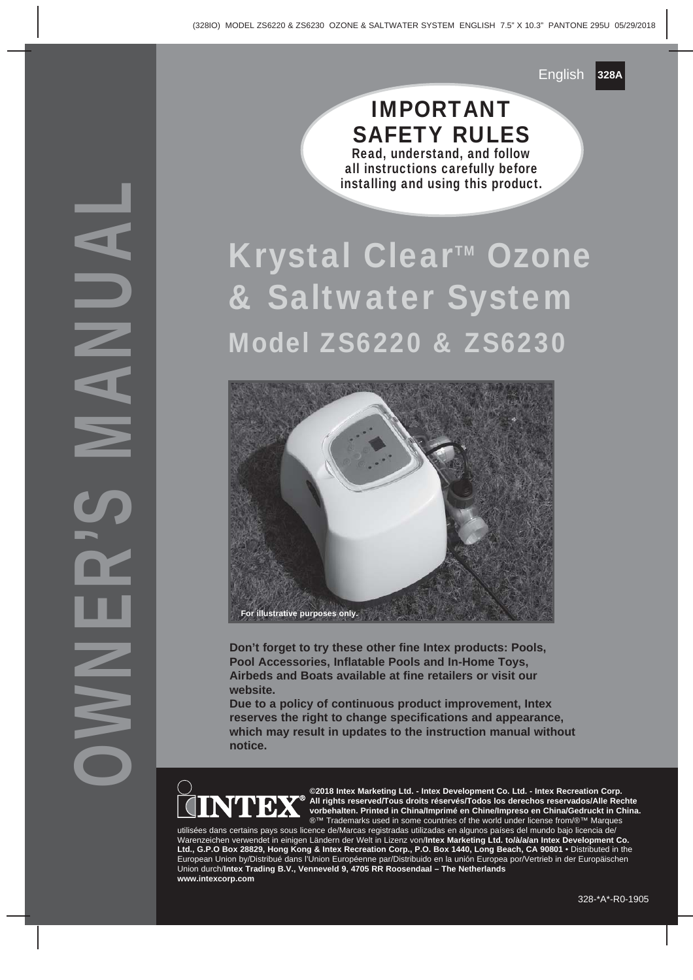# OWNER'S MANUAL

#### IMPORTANT SAFETY RULES Read, understand, and follow all instructions carefully before installing and using this product.

# Krystal Clear™ Ozone & Saltwater System Model ZS6220 & ZS6230



**Don't forget to try these other fine Intex products: Pools, Pool Accessories, Inflatable Pools and In-Home Toys, Airbeds and Boats available at fine retailers or visit our website.**

**Due to a policy of continuous product improvement, Intex reserves the right to change specifications and appearance, which may result in updates to the instruction manual without notice.**



**©2018 Intex Marketing Ltd. - Intex Development Co. Ltd. - Intex Recreation Corp. All rights reserved/Tous droits réservés/Todos los derechos reservados/Alle Rechte vorbehalten. Printed in China/Imprimé en Chine/Impreso en China/Gedruckt in China.** ®™ Trademarks used in some countries of the world under license from/®™ Marques

utilisées dans certains pays sous licence de/Marcas registradas utilizadas en algunos países del mundo bajo licencia de/ Warenzeichen verwendet in einigen Ländern der Welt in Lizenz von/**Intex Marketing Ltd. to/à/a/an Intex Development Co. Ltd., G.P.O Box 28829, Hong Kong & Intex Recreation Corp., P.O. Box 1440, Long Beach, CA 90801** • Distributed in the European Union by/Distribué dans l'Union Européenne par/Distribuido en la unión Europea por/Vertrieb in der Europäischen Union durch/**Intex Trading B.V., Venneveld 9, 4705 RR Roosendaal – The Netherlands www.intexcorp.com**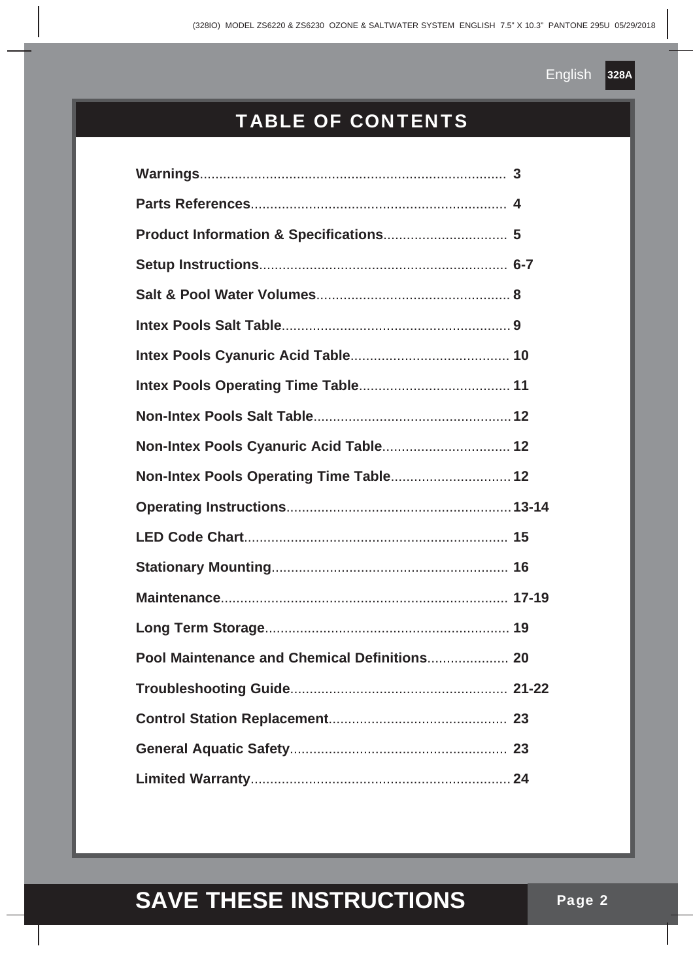## TABLE OF CONTENTS

| Non-Intex Pools Cyanuric Acid Table 12 |          |
|----------------------------------------|----------|
|                                        |          |
|                                        |          |
|                                        |          |
|                                        |          |
|                                        |          |
|                                        |          |
|                                        |          |
| Troubleshooting Guide                  | $.21-22$ |
|                                        |          |
|                                        |          |
|                                        |          |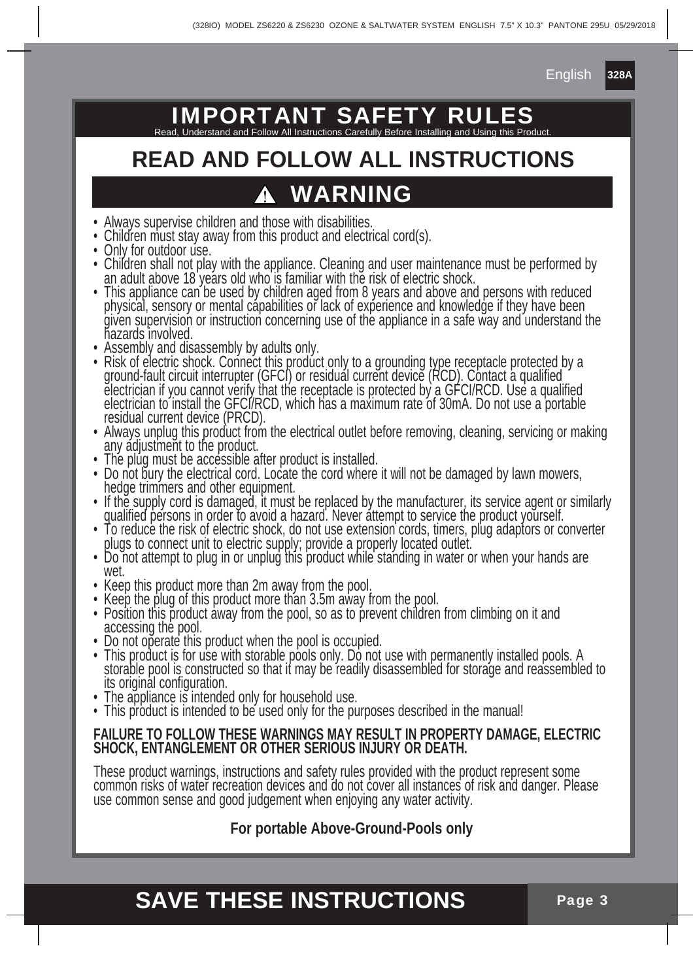# **IMPORTANT SAFETY R**

Read, Understand and Follow All Instructions Carefully Before Installing and Using this Product.

# **READ AND FOLLOW ALL INSTRUCTIONS**

# **WARNING**

- Always supervise children and those with disabilities.
- Children must stay away from this product and electrical cord(s).
- Only for outdoor use.
- Children shall not play with the appliance. Cleaning and user maintenance must be performed by an adult above 18 years old who is familiar with the risk of electric shock.
- This appliance can be used by children aged from 8 years and above and persons with reduced physical, sensory or mental capabilities or lack of experience and knowledge if they have been given supervision or instruction concerning use of the appliance in a safe way and understand the hazards involved.
- Assembly and disassembly by adults only.
- Risk of electric shock. Connect this product only to a grounding type receptacle protected by a ground-fault circuit interrupter (GFCI) or residual current device (RCD). Contact a qualified electrician if you cannot verify that the receptacle is protected by a GFCI/RCD. Use a qualified electrician to install the GFCI/RCD, which has a maximum rate of 30mA. Do not use a portable residual current device (PRCD).
- Always unplug this product from the electrical outlet before removing, cleaning, servicing or making any adjustment to the product.
- The plug must be accessible after product is installed.
- Do not bury the electrical cord. Locate the cord where it will not be damaged by lawn mowers, hedge trimmers and other equipment.
- If the supply cord is damaged, it must be replaced by the manufacturer, its service agent or similarly qualified persons in order to avoid a hazard. Never attempt to service the product yourself.
- To reduce the risk of electric shock, do not use extension cords, timers, plug adaptors or converter plugs to connect unit to electric supply; provide a properly located outlet.
- Do not attempt to plug in or unplug this product while standing in water or when your hands are wet.
- Keep this product more than 2m away from the pool.
- Keep the plug of this product more than 3.5m away from the pool.
- Position this product away from the pool, so as to prevent children from climbing on it and accessing the pool.
- Do not operate this product when the pool is occupied.
- This product is for use with storable pools only. Do not use with permanently installed pools. A storable pool is constructed so that it may be readily disassembled for storage and reassembled to its original configuration.
- The appliance is intended only for household use.
- This product is intended to be used only for the purposes described in the manual!

#### **FAILURE TO FOLLOW THESE WARNINGS MAY RESULT IN PROPERTY DAMAGE, ELECTRIC SHOCK, ENTANGLEMENT OR OTHER SERIOUS INJURY OR DEATH.**

These product warnings, instructions and safety rules provided with the product represent some common risks of water recreation devices and do not cover all instances of risk and danger. Please use common sense and good judgement when enjoying any water activity.

#### **For portable Above-Ground-Pools only**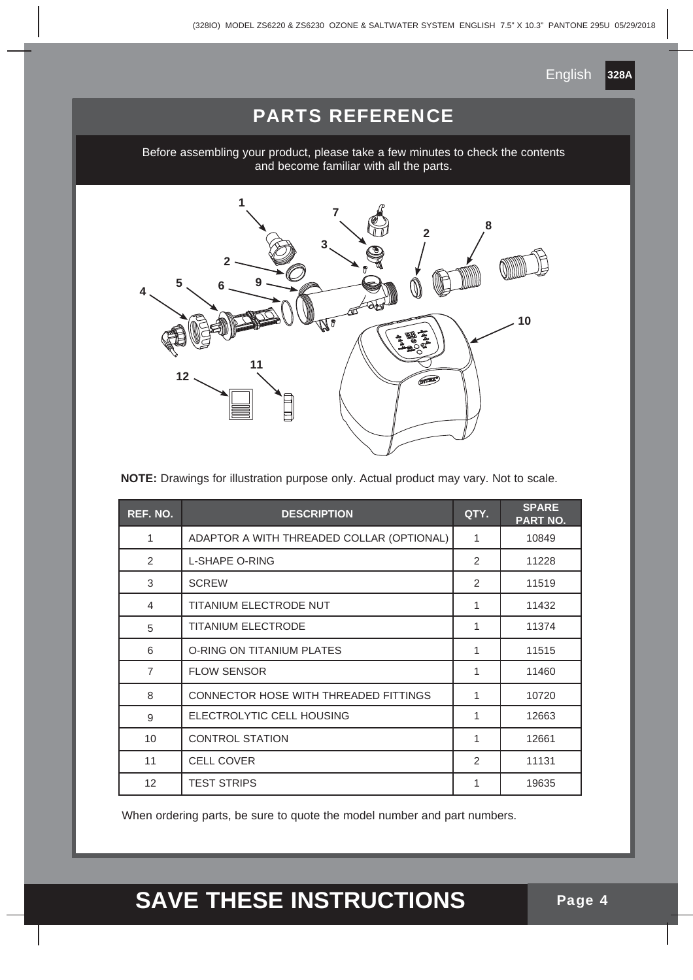## PARTS REFERENCE

Before assembling your product, please take a few minutes to check the contents and become familiar with all the parts.



**NOTE:** Drawings for illustration purpose only. Actual product may vary. Not to scale.

| REF. NO.       | <b>DESCRIPTION</b>                        | QTY.           | <b>SPARE</b><br>PART NO. |
|----------------|-------------------------------------------|----------------|--------------------------|
| 1              | ADAPTOR A WITH THREADED COLLAR (OPTIONAL) | 1              | 10849                    |
| $\mathcal{P}$  | <b>L-SHAPE O-RING</b>                     | $\mathfrak{p}$ | 11228                    |
| 3              | <b>SCREW</b>                              | 2              | 11519                    |
| 4              | TITANIUM ELECTRODE NUT                    | 1              | 11432                    |
| 5              | <b>TITANIUM ELECTRODE</b>                 | 1              | 11374                    |
| 6              | <b>O-RING ON TITANIUM PLATES</b>          | 1              | 11515                    |
| $\overline{7}$ | <b>FLOW SENSOR</b>                        | 1              | 11460                    |
| 8              | CONNECTOR HOSE WITH THREADED FITTINGS     | 1              | 10720                    |
| 9              | ELECTROLYTIC CELL HOUSING                 | 1              | 12663                    |
| 10             | <b>CONTROL STATION</b>                    | 1              | 12661                    |
| 11             | <b>CELL COVER</b>                         | 2              | 11131                    |
| 12             | <b>TEST STRIPS</b>                        | 1              | 19635                    |

When ordering parts, be sure to quote the model number and part numbers.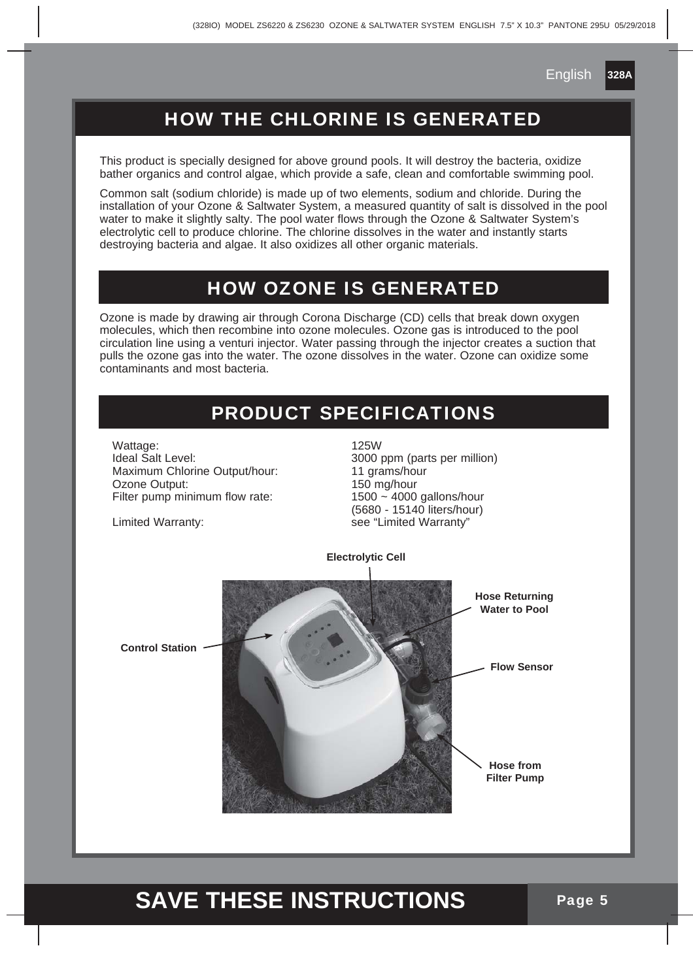## HOW THE CHLORINE IS GENERATED

This product is specially designed for above ground pools. It will destroy the bacteria, oxidize bather organics and control algae, which provide a safe, clean and comfortable swimming pool.

Common salt (sodium chloride) is made up of two elements, sodium and chloride. During the installation of your Ozone & Saltwater System, a measured quantity of salt is dissolved in the pool water to make it slightly salty. The pool water flows through the Ozone & Saltwater System's electrolytic cell to produce chlorine. The chlorine dissolves in the water and instantly starts destroying bacteria and algae. It also oxidizes all other organic materials.

#### HOW OZONE IS GENERATED

Ozone is made by drawing air through Corona Discharge (CD) cells that break down oxygen molecules, which then recombine into ozone molecules. Ozone gas is introduced to the pool circulation line using a venturi injector. Water passing through the injector creates a suction that pulls the ozone gas into the water. The ozone dissolves in the water. Ozone can oxidize some contaminants and most bacteria.

## PRODUCT SPECIFICATIONS

Wattage: 125W Ideal Salt Level: 3000 ppm (parts per million)<br>Maximum Chlorine Output/hour: 11 grams/hour Maximum Chlorine Output/hour: Ozone Output: 0200 0200 0200 0200 150 mg/hour<br>Filter pump minimum flow rate: 1500 ~ 4000 gallons/hour Filter pump minimum flow rate:

 (5680 - 15140 liters/hour) Limited Warranty: example and the see "Limited Warranty"



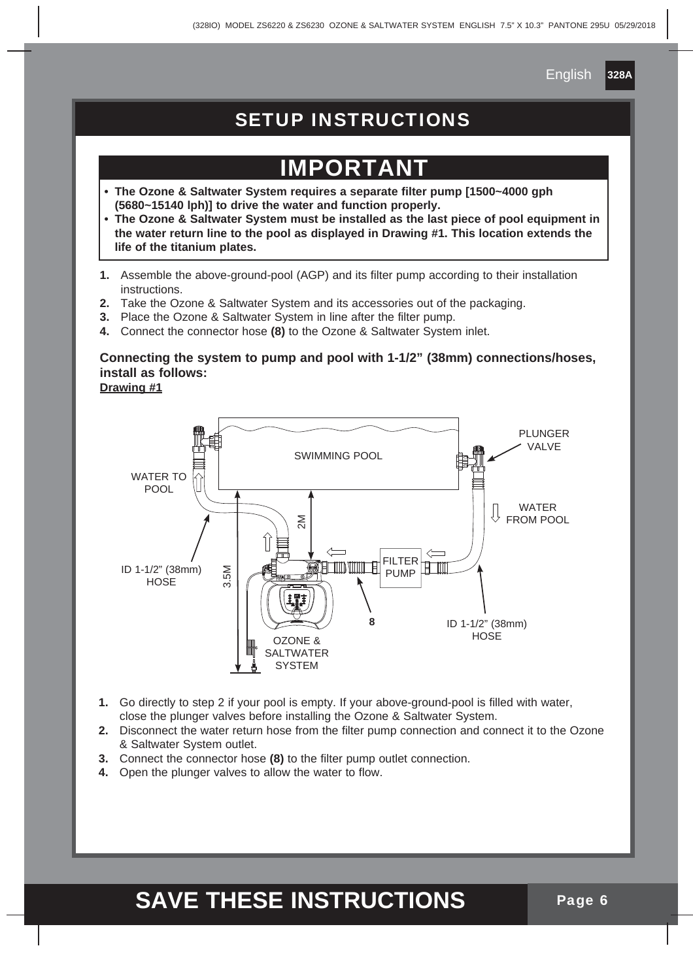## SETUP INSTRUCTIONS

# **PORTA**

- **The Ozone & Saltwater System requires a separate filter pump [1500~4000 gph (5680~15140 lph)] to drive the water and function properly.**
- **The Ozone & Saltwater System must be installed as the last piece of pool equipment in the water return line to the pool as displayed in Drawing #1. This location extends the life of the titanium plates.**
- **1.** Assemble the above-ground-pool (AGP) and its filter pump according to their installation instructions.
- **2.** Take the Ozone & Saltwater System and its accessories out of the packaging.
- **3.** Place the Ozone & Saltwater System in line after the filter pump.
- **4.** Connect the connector hose **(8)** to the Ozone & Saltwater System inlet.

#### **Connecting the system to pump and pool with 1-1/2" (38mm) connections/hoses, install as follows:**

**Drawing #1**



- **1.** Go directly to step 2 if your pool is empty. If your above-ground-pool is filled with water, close the plunger valves before installing the Ozone & Saltwater System.
- **2.** Disconnect the water return hose from the filter pump connection and connect it to the Ozone & Saltwater System outlet.
- **3.** Connect the connector hose **(8)** to the filter pump outlet connection.
- **4.** Open the plunger valves to allow the water to flow.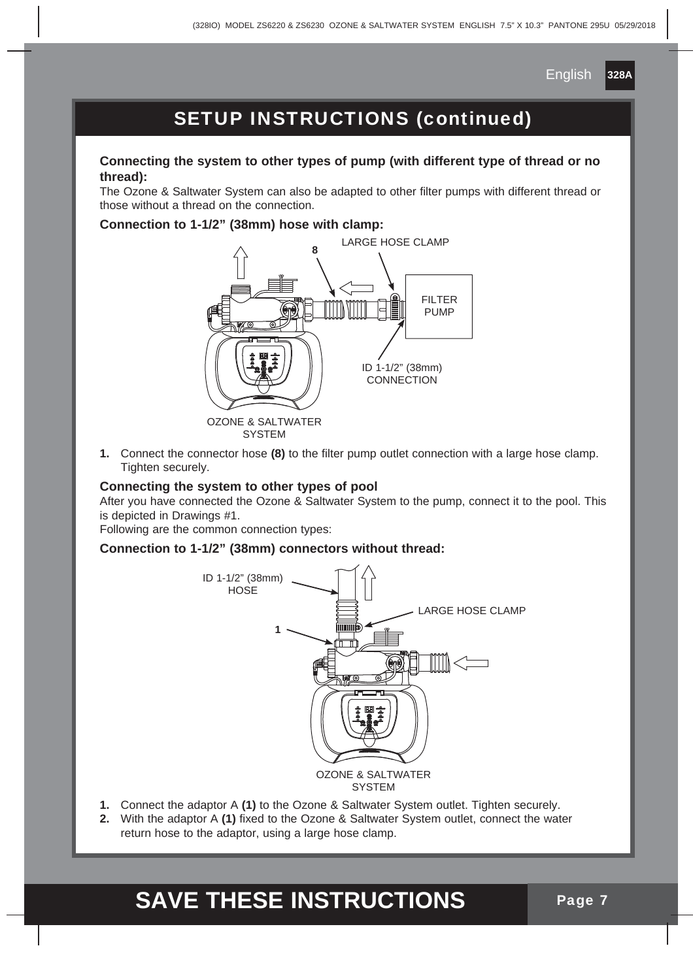

## SETUP INSTRUCTIONS (continued)

#### **Connecting the system to other types of pump (with different type of thread or no thread):**

The Ozone & Saltwater System can also be adapted to other filter pumps with different thread or those without a thread on the connection.

#### **Connection to 1-1/2" (38mm) hose with clamp:**



**1.** Connect the connector hose **(8)** to the filter pump outlet connection with a large hose clamp. Tighten securely.

#### **Connecting the system to other types of pool**

After you have connected the Ozone & Saltwater System to the pump, connect it to the pool. This is depicted in Drawings #1.

Following are the common connection types:

#### **Connection to 1-1/2" (38mm) connectors without thread:**



- **1.** Connect the adaptor A **(1)** to the Ozone & Saltwater System outlet. Tighten securely.
- **2.** With the adaptor A **(1)** fixed to the Ozone & Saltwater System outlet, connect the water return hose to the adaptor, using a large hose clamp.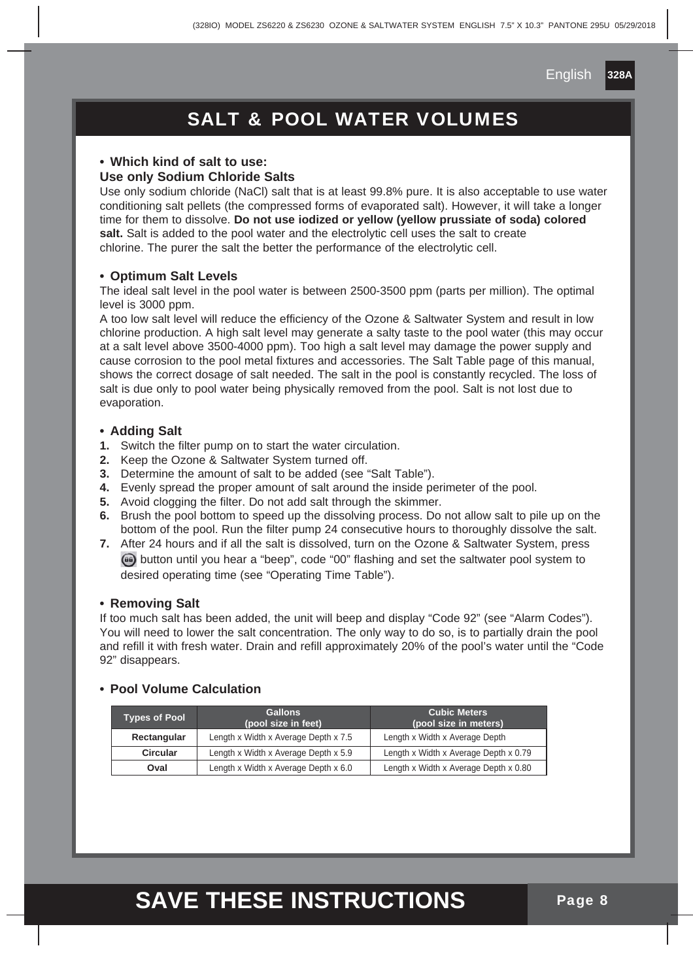## SALT & POOL WATER VOLUMES

#### **• Which kind of salt to use:**

#### **Use only Sodium Chloride Salts**

Use only sodium chloride (NaCl) salt that is at least 99.8% pure. It is also acceptable to use water conditioning salt pellets (the compressed forms of evaporated salt). However, it will take a longer time for them to dissolve. **Do not use iodized or yellow (yellow prussiate of soda) colored**  salt. Salt is added to the pool water and the electrolytic cell uses the salt to create chlorine. The purer the salt the better the performance of the electrolytic cell.

#### **• Optimum Salt Levels**

The ideal salt level in the pool water is between 2500-3500 ppm (parts per million). The optimal level is 3000 ppm.

A too low salt level will reduce the efficiency of the Ozone & Saltwater System and result in low chlorine production. A high salt level may generate a salty taste to the pool water (this may occur at a salt level above 3500-4000 ppm). Too high a salt level may damage the power supply and cause corrosion to the pool metal fixtures and accessories. The Salt Table page of this manual, shows the correct dosage of salt needed. The salt in the pool is constantly recycled. The loss of salt is due only to pool water being physically removed from the pool. Salt is not lost due to evaporation.

#### **• Adding Salt**

- **1.** Switch the filter pump on to start the water circulation.
- **2.** Keep the Ozone & Saltwater System turned off.
- **3.** Determine the amount of salt to be added (see "Salt Table").
- **4.** Evenly spread the proper amount of salt around the inside perimeter of the pool.
- **5.** Avoid clogging the filter. Do not add salt through the skimmer.
- **6.** Brush the pool bottom to speed up the dissolving process. Do not allow salt to pile up on the bottom of the pool. Run the filter pump 24 consecutive hours to thoroughly dissolve the salt.
- **7.** After 24 hours and if all the salt is dissolved, turn on the Ozone & Saltwater System, press button until you hear a "beep", code "00" flashing and set the saltwater pool system to desired operating time (see "Operating Time Table").

#### **• Removing Salt**

If too much salt has been added, the unit will beep and display "Code 92" (see "Alarm Codes"). You will need to lower the salt concentration. The only way to do so, is to partially drain the pool and refill it with fresh water. Drain and refill approximately 20% of the pool's water until the "Code 92" disappears.

#### **• Pool Volume Calculation**

| <b>Types of Pool</b> | <b>Gallons</b><br>(pool size in feet) | <b>Cubic Meters</b><br>(pool size in meters) |
|----------------------|---------------------------------------|----------------------------------------------|
| Rectangular          | Length x Width x Average Depth x 7.5  | Length x Width x Average Depth               |
| Circular             | Length x Width x Average Depth x 5.9  | Length x Width x Average Depth x 0.79        |
| Oval                 | Length x Width x Average Depth x 6.0  | Length x Width x Average Depth x 0.80        |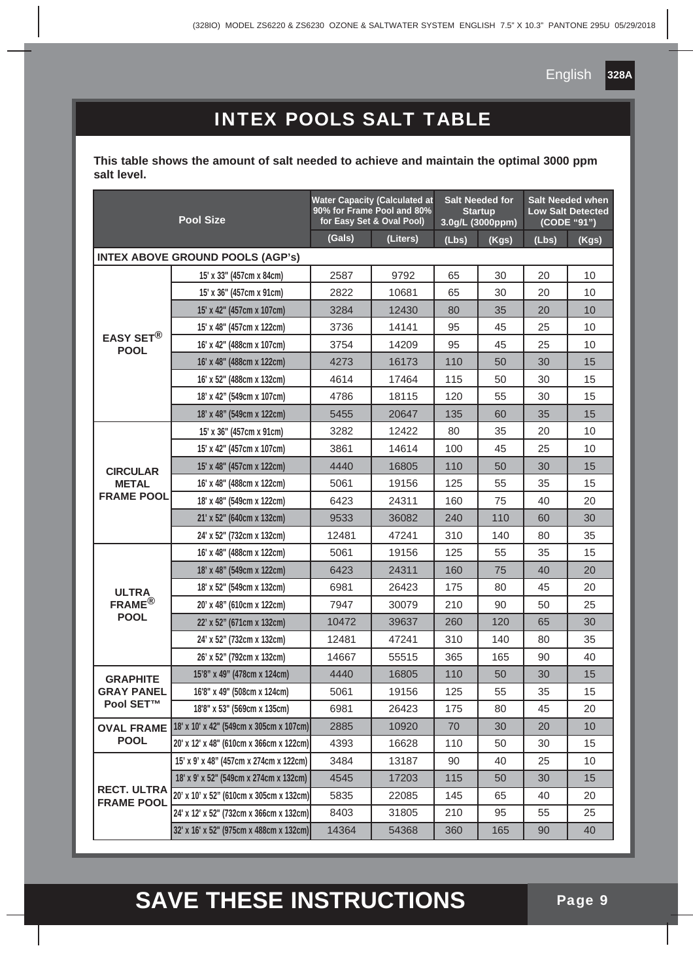## INTEX POOLS SALT TABLE

**This table shows the amount of salt needed to achieve and maintain the optimal 3000 ppm salt level.**

| <b>Pool Size</b>                        |                                         | <b>Water Capacity (Calculated at</b><br>90% for Frame Pool and 80%<br>for Easy Set & Oval Pool) |          | <b>Salt Needed for</b><br><b>Startup</b><br>3.0g/L (3000ppm) |       | <b>Salt Needed when</b><br><b>Low Salt Detected</b><br>(CODE "91") |       |
|-----------------------------------------|-----------------------------------------|-------------------------------------------------------------------------------------------------|----------|--------------------------------------------------------------|-------|--------------------------------------------------------------------|-------|
|                                         |                                         | (Gals)                                                                                          | (Liters) | (Lbs)                                                        | (Kgs) | (Lbs)                                                              | (Kgs) |
|                                         | <b>INTEX ABOVE GROUND POOLS (AGP's)</b> |                                                                                                 |          |                                                              |       |                                                                    |       |
|                                         | 15' x 33" (457cm x 84cm)                | 2587                                                                                            | 9792     | 65                                                           | 30    | 20                                                                 | 10    |
|                                         | 15' x 36" (457cm x 91cm)                | 2822                                                                                            | 10681    | 65                                                           | 30    | 20                                                                 | 10    |
|                                         | 15' x 42" (457cm x 107cm)               | 3284                                                                                            | 12430    | 80                                                           | 35    | 20                                                                 | 10    |
|                                         | 15' x 48" (457cm x 122cm)               | 3736                                                                                            | 14141    | 95                                                           | 45    | 25                                                                 | 10    |
| EASY SET <sup>®</sup><br><b>POOL</b>    | 16' x 42" (488cm x 107cm)               | 3754                                                                                            | 14209    | 95                                                           | 45    | 25                                                                 | 10    |
|                                         | 16' x 48" (488cm x 122cm)               | 4273                                                                                            | 16173    | 110                                                          | 50    | 30                                                                 | 15    |
|                                         | 16' x 52" (488cm x 132cm)               | 4614                                                                                            | 17464    | 115                                                          | 50    | 30                                                                 | 15    |
|                                         | 18' x 42" (549cm x 107cm)               | 4786                                                                                            | 18115    | 120                                                          | 55    | 30                                                                 | 15    |
|                                         | 18' x 48" (549cm x 122cm)               | 5455                                                                                            | 20647    | 135                                                          | 60    | 35                                                                 | 15    |
|                                         | 15' x 36" (457cm x 91cm)                | 3282                                                                                            | 12422    | 80                                                           | 35    | 20                                                                 | 10    |
|                                         | 15' x 42" (457cm x 107cm)               | 3861                                                                                            | 14614    | 100                                                          | 45    | 25                                                                 | 10    |
| <b>CIRCULAR</b>                         | 15' x 48" (457cm x 122cm)               | 4440                                                                                            | 16805    | 110                                                          | 50    | 30                                                                 | 15    |
| <b>METAL</b>                            | 16' x 48" (488cm x 122cm)               | 5061                                                                                            | 19156    | 125                                                          | 55    | 35                                                                 | 15    |
| <b>FRAME POOL</b>                       | 18' x 48" (549cm x 122cm)               | 6423                                                                                            | 24311    | 160                                                          | 75    | 40                                                                 | 20    |
|                                         | 21' x 52" (640cm x 132cm)               | 9533                                                                                            | 36082    | 240                                                          | 110   | 60                                                                 | 30    |
|                                         | 24' x 52" (732cm x 132cm)               | 12481                                                                                           | 47241    | 310                                                          | 140   | 80                                                                 | 35    |
|                                         | 16' x 48" (488cm x 122cm)               | 5061                                                                                            | 19156    | 125                                                          | 55    | 35                                                                 | 15    |
|                                         | 18' x 48" (549cm x 122cm)               | 6423                                                                                            | 24311    | 160                                                          | 75    | 40                                                                 | 20    |
| <b>ULTRA</b>                            | 18' x 52" (549cm x 132cm)               | 6981                                                                                            | 26423    | 175                                                          | 80    | 45                                                                 | 20    |
| FRAME <sup>®</sup>                      | 20' x 48" (610cm x 122cm)               | 7947                                                                                            | 30079    | 210                                                          | 90    | 50                                                                 | 25    |
| <b>POOL</b>                             | 22' x 52" (671cm x 132cm)               | 10472                                                                                           | 39637    | 260                                                          | 120   | 65                                                                 | 30    |
|                                         | 24' x 52" (732cm x 132cm)               | 12481                                                                                           | 47241    | 310                                                          | 140   | 80                                                                 | 35    |
|                                         | 26' x 52" (792cm x 132cm)               | 14667                                                                                           | 55515    | 365                                                          | 165   | 90                                                                 | 40    |
| <b>GRAPHITE</b>                         | 15'8" x 49" (478cm x 124cm)             | 4440                                                                                            | 16805    | 110                                                          | 50    | 30                                                                 | 15    |
| <b>GRAY PANEL</b>                       | 16'8" x 49" (508cm x 124cm)             | 5061                                                                                            | 19156    | 125                                                          | 55    | 35                                                                 | 15    |
| <b>Pool SET™</b>                        | 18'8" x 53" (569cm x 135cm)             | 6981                                                                                            | 26423    | 175                                                          | 80    | 45                                                                 | 20    |
| <b>OVAL FRAME</b>                       | 18' x 10' x 42" (549cm x 305cm x 107cm) | 2885                                                                                            | 10920    | 70                                                           | 30    | 20                                                                 | 10    |
| <b>POOL</b>                             | 20' x 12' x 48" (610cm x 366cm x 122cm) | 4393                                                                                            | 16628    | 110                                                          | 50    | 30                                                                 | 15    |
|                                         | 15' x 9' x 48" (457cm x 274cm x 122cm)  | 3484                                                                                            | 13187    | 90                                                           | 40    | 25                                                                 | 10    |
|                                         | 18' x 9' x 52" (549cm x 274cm x 132cm)  | 4545                                                                                            | 17203    | 115                                                          | 50    | 30                                                                 | 15    |
| <b>RECT. ULTRA</b><br><b>FRAME POOL</b> | 20' x 10' x 52" (610cm x 305cm x 132cm) | 5835                                                                                            | 22085    | 145                                                          | 65    | 40                                                                 | 20    |
|                                         | 24' x 12' x 52" (732cm x 366cm x 132cm) | 8403                                                                                            | 31805    | 210                                                          | 95    | 55                                                                 | 25    |
|                                         | 32' x 16' x 52" (975cm x 488cm x 132cm) | 14364                                                                                           | 54368    | 360                                                          | 165   | 90                                                                 | 40    |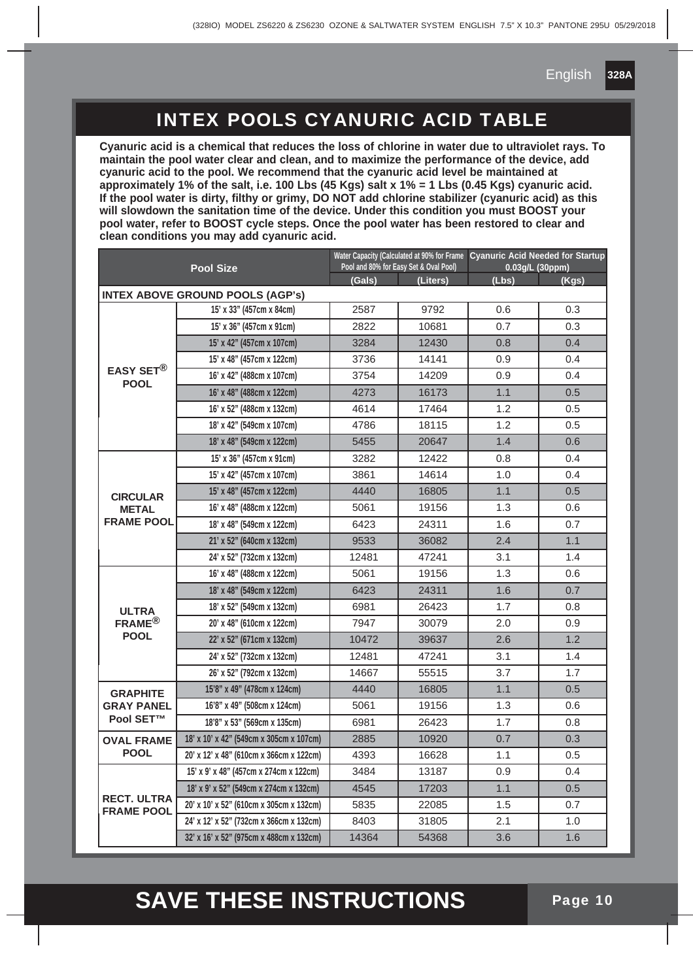#### INTEX POOLS CYANURIC ACID TABLE

**Cyanuric acid is a chemical that reduces the loss of chlorine in water due to ultraviolet rays. To maintain the pool water clear and clean, and to maximize the performance of the device, add cyanuric acid to the pool. We recommend that the cyanuric acid level be maintained at approximately 1% of the salt, i.e. 100 Lbs (45 Kgs) salt x 1% = 1 Lbs (0.45 Kgs) cyanuric acid. If the pool water is dirty, filthy or grimy, DO NOT add chlorine stabilizer (cyanuric acid) as this will slowdown the sanitation time of the device. Under this condition you must BOOST your pool water, refer to BOOST cycle steps. Once the pool water has been restored to clear and clean conditions you may add cyanuric acid.**

| <b>Pool Size</b>                        |                                         | Pool and 80% for Easy Set & Oval Pool) |          | Water Capacity (Calculated at 90% for Frame   Cyanuric Acid Needed for Startup<br>$0.03$ g/L $(30$ ppm $)$ |       |
|-----------------------------------------|-----------------------------------------|----------------------------------------|----------|------------------------------------------------------------------------------------------------------------|-------|
|                                         |                                         | (Gals)                                 | (Liters) | (Lbs)                                                                                                      | (Kgs) |
|                                         | <b>INTEX ABOVE GROUND POOLS (AGP's)</b> |                                        |          |                                                                                                            |       |
|                                         | 15' x 33" (457cm x 84cm)                | 2587                                   | 9792     | 0.6                                                                                                        | 0.3   |
|                                         | 15' x 36" (457cm x 91cm)                | 2822                                   | 10681    | 0.7                                                                                                        | 0.3   |
|                                         | 15' x 42" (457cm x 107cm)               | 3284                                   | 12430    | 0.8                                                                                                        | 0.4   |
|                                         | 15' x 48" (457cm x 122cm)               | 3736                                   | 14141    | 0.9                                                                                                        | 0.4   |
| EASY SET <sup>®</sup><br><b>POOL</b>    | 16' x 42" (488cm x 107cm)               | 3754                                   | 14209    | 0.9                                                                                                        | 0.4   |
|                                         | 16' x 48" (488cm x 122cm)               | 4273                                   | 16173    | 1.1                                                                                                        | 0.5   |
|                                         | 16' x 52" (488cm x 132cm)               | 4614                                   | 17464    | 1.2                                                                                                        | 0.5   |
|                                         | 18' x 42" (549cm x 107cm)               | 4786                                   | 18115    | 1.2                                                                                                        | 0.5   |
|                                         | 18' x 48" (549cm x 122cm)               | 5455                                   | 20647    | 1.4                                                                                                        | 0.6   |
|                                         | 15' x 36" (457cm x 91cm)                | 3282                                   | 12422    | 0.8                                                                                                        | 0.4   |
|                                         | 15' x 42" (457cm x 107cm)               | 3861                                   | 14614    | 1.0                                                                                                        | 0.4   |
| <b>CIRCULAR</b>                         | 15' x 48" (457cm x 122cm)               | 4440                                   | 16805    | 1.1                                                                                                        | 0.5   |
| <b>METAL</b><br><b>FRAME POOL</b>       | 16' x 48" (488cm x 122cm)               | 5061                                   | 19156    | 1.3                                                                                                        | 0.6   |
|                                         | 18' x 48" (549cm x 122cm)               | 6423                                   | 24311    | 1.6                                                                                                        | 0.7   |
|                                         | 21' x 52" (640cm x 132cm)               | 9533                                   | 36082    | 2.4                                                                                                        | 1.1   |
|                                         | 24' x 52" (732cm x 132cm)               | 12481                                  | 47241    | 3.1                                                                                                        | 1.4   |
|                                         | 16' x 48" (488cm x 122cm)               | 5061                                   | 19156    | 1.3                                                                                                        | 0.6   |
|                                         | 18' x 48" (549cm x 122cm)               | 6423                                   | 24311    | 1.6                                                                                                        | 0.7   |
| <b>ULTRA</b>                            | 18' x 52" (549cm x 132cm)               | 6981                                   | 26423    | 1.7                                                                                                        | 0.8   |
| $FRAME^{\circledR}$                     | 20' x 48" (610cm x 122cm)               | 7947                                   | 30079    | 2.0                                                                                                        | 0.9   |
| <b>POOL</b>                             | 22' x 52" (671cm x 132cm)               | 10472                                  | 39637    | 2.6                                                                                                        | 1.2   |
|                                         | 24' x 52" (732cm x 132cm)               | 12481                                  | 47241    | 3.1                                                                                                        | 1.4   |
|                                         | 26' x 52" (792cm x 132cm)               | 14667                                  | 55515    | 3.7                                                                                                        | 1.7   |
| <b>GRAPHITE</b>                         | 15'8" x 49" (478cm x 124cm)             | 4440                                   | 16805    | 1.1                                                                                                        | 0.5   |
| <b>GRAY PANEL</b>                       | 16'8" x 49" (508cm x 124cm)             | 5061                                   | 19156    | 1.3                                                                                                        | 0.6   |
| <b>Pool SET™</b>                        | 18'8" x 53" (569cm x 135cm)             | 6981                                   | 26423    | 1.7                                                                                                        | 0.8   |
| <b>OVAL FRAME</b>                       | 18' x 10' x 42" (549cm x 305cm x 107cm) | 2885                                   | 10920    | 0.7                                                                                                        | 0.3   |
| <b>POOL</b>                             | 20' x 12' x 48" (610cm x 366cm x 122cm) | 4393                                   | 16628    | 1.1                                                                                                        | 0.5   |
|                                         | 15' x 9' x 48" (457cm x 274cm x 122cm)  | 3484                                   | 13187    | 0.9                                                                                                        | 0.4   |
|                                         | 18' x 9' x 52" (549cm x 274cm x 132cm)  | 4545                                   | 17203    | 1.1                                                                                                        | 0.5   |
| <b>RECT. ULTRA</b><br><b>FRAME POOL</b> | 20' x 10' x 52" (610cm x 305cm x 132cm) | 5835                                   | 22085    | 1.5                                                                                                        | 0.7   |
|                                         | 24' x 12' x 52" (732cm x 366cm x 132cm) | 8403                                   | 31805    | 2.1                                                                                                        | 1.0   |
|                                         | 32' x 16' x 52" (975cm x 488cm x 132cm) | 14364                                  | 54368    | 3.6                                                                                                        | 1.6   |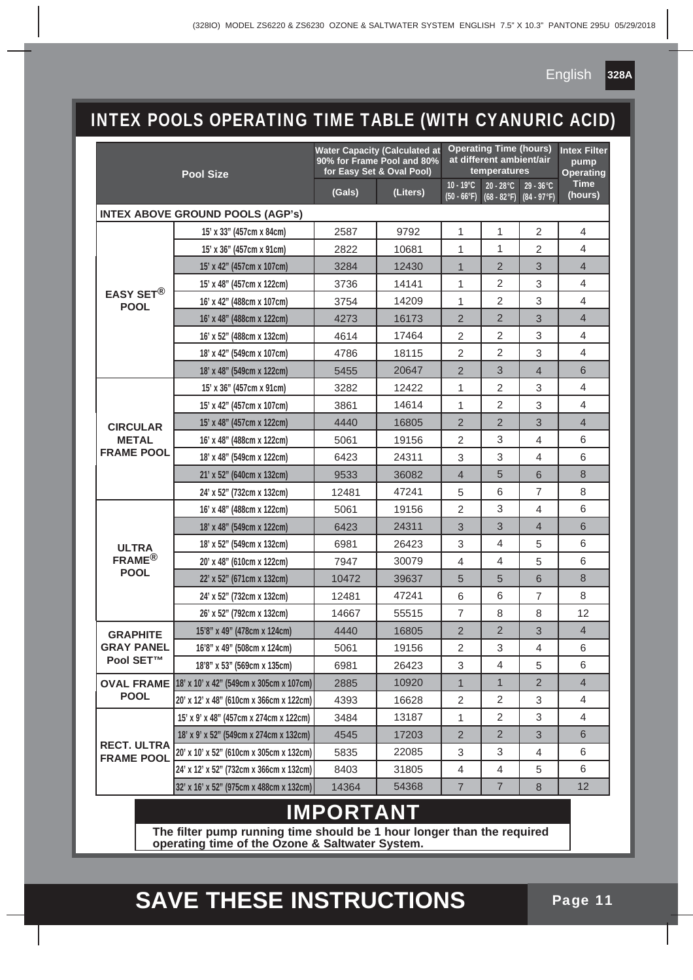## INTEX POOLS OPERATING TIME TABLE (WITH CYANURIC ACID)

|                                         | <b>Pool Size</b>                        |        | <b>Water Capacity (Calculated at</b><br>90% for Frame Pool and 80%<br>for Easy Set & Oval Pool) |                                     | <b>Operating Time (hours)</b><br>at different ambient/air<br>temperatures |                                      | <b>Intex Filter</b><br>pump<br>Operating |
|-----------------------------------------|-----------------------------------------|--------|-------------------------------------------------------------------------------------------------|-------------------------------------|---------------------------------------------------------------------------|--------------------------------------|------------------------------------------|
|                                         |                                         | (Gals) | (Liters)                                                                                        | $10 - 19^{\circ}C$<br>$(50 - 66°F)$ | $20 - 28$ °C<br>$(68 - 82$ °F)                                            | $29 - 36^{\circ}C$<br>$(84 - 97 °F)$ | <b>Time</b><br>(hours)                   |
|                                         | <b>INTEX ABOVE GROUND POOLS (AGP's)</b> |        |                                                                                                 |                                     |                                                                           |                                      |                                          |
|                                         | 15' x 33" (457cm x 84cm)                | 2587   | 9792                                                                                            | 1                                   | 1                                                                         | $\overline{2}$                       | 4                                        |
|                                         | 15' x 36" (457cm x 91cm)                | 2822   | 10681                                                                                           | 1                                   | 1                                                                         | 2                                    | 4                                        |
|                                         | 15' x 42" (457cm x 107cm)               | 3284   | 12430                                                                                           | $\mathbf 1$                         | $\overline{2}$                                                            | 3                                    | 4                                        |
|                                         | 15' x 48" (457cm x 122cm)               | 3736   | 14141                                                                                           | 1                                   | 2                                                                         | 3                                    | 4                                        |
| <b>EASY SET®</b><br><b>POOL</b>         | 16' x 42" (488cm x 107cm)               | 3754   | 14209                                                                                           | 1                                   | $\overline{2}$                                                            | 3                                    | 4                                        |
|                                         | 16' x 48" (488cm x 122cm)               | 4273   | 16173                                                                                           | $\overline{2}$                      | 2                                                                         | 3                                    | $\overline{4}$                           |
|                                         | 16' x 52" (488cm x 132cm)               | 4614   | 17464                                                                                           | $\overline{2}$                      | 2                                                                         | 3                                    | 4                                        |
|                                         | 18' x 42" (549cm x 107cm)               | 4786   | 18115                                                                                           | $\overline{2}$                      | 2                                                                         | 3                                    | 4                                        |
|                                         | 18' x 48" (549cm x 122cm)               | 5455   | 20647                                                                                           | $\overline{2}$                      | 3                                                                         | 4                                    | 6                                        |
|                                         | 15' x 36" (457cm x 91cm)                | 3282   | 12422                                                                                           | 1                                   | 2                                                                         | 3                                    | 4                                        |
|                                         | 15' x 42" (457cm x 107cm)               | 3861   | 14614                                                                                           | 1                                   | 2                                                                         | 3                                    | 4                                        |
| <b>CIRCULAR</b>                         | 15' x 48" (457cm x 122cm)               | 4440   | 16805                                                                                           | $\overline{2}$                      | $\overline{2}$                                                            | 3                                    | $\overline{4}$                           |
| <b>METAL</b>                            | 16' x 48" (488cm x 122cm)               | 5061   | 19156                                                                                           | 2                                   | 3                                                                         | 4                                    | 6                                        |
| <b>FRAME POOL</b>                       | 18' x 48" (549cm x 122cm)               | 6423   | 24311                                                                                           | 3                                   | 3                                                                         | 4                                    | 6                                        |
|                                         | 21' x 52" (640cm x 132cm)               | 9533   | 36082                                                                                           | 4                                   | 5                                                                         | 6                                    | 8                                        |
|                                         | 24' x 52" (732cm x 132cm)               | 12481  | 47241                                                                                           | 5                                   | 6                                                                         | 7                                    | 8                                        |
|                                         | 16' x 48" (488cm x 122cm)               | 5061   | 19156                                                                                           | $\overline{2}$                      | 3                                                                         | 4                                    | 6                                        |
|                                         | 18' x 48" (549cm x 122cm)               | 6423   | 24311                                                                                           | 3                                   | 3                                                                         | 4                                    | 6                                        |
| <b>ULTRA</b>                            | 18' x 52" (549cm x 132cm)               | 6981   | 26423                                                                                           | 3                                   | 4                                                                         | 5                                    | 6                                        |
| $FRAME^{\circledR}$                     | 20' x 48" (610cm x 122cm)               | 7947   | 30079                                                                                           | $\overline{4}$                      | 4                                                                         | 5                                    | 6                                        |
| <b>POOL</b>                             | 22' x 52" (671cm x 132cm)               | 10472  | 39637                                                                                           | 5                                   | 5                                                                         | 6                                    | 8                                        |
|                                         | 24' x 52" (732cm x 132cm)               | 12481  | 47241                                                                                           | 6                                   | 6                                                                         | 7                                    | 8                                        |
|                                         | 26' x 52" (792cm x 132cm)               | 14667  | 55515                                                                                           | $\overline{7}$                      | 8                                                                         | 8                                    | 12                                       |
| <b>GRAPHITE</b>                         | 15'8" x 49" (478cm x 124cm)             | 4440   | 16805                                                                                           | $\overline{2}$                      | $\overline{2}$                                                            | 3                                    | $\overline{4}$                           |
| <b>GRAY PANEL</b>                       | 16'8" x 49" (508cm x 124cm)             | 5061   | 19156                                                                                           | 2                                   | 3                                                                         | 4                                    | 6                                        |
| <b>Pool SET™</b>                        | 18'8" x 53" (569cm x 135cm)             | 6981   | 26423                                                                                           | 3                                   | 4                                                                         | 5                                    | 6                                        |
| <b>OVAL FRAME</b>                       | 18' x 10' x 42" (549cm x 305cm x 107cm) | 2885   | 10920                                                                                           | 1                                   | 1                                                                         | $\overline{2}$                       | 4                                        |
| <b>POOL</b>                             | 20' x 12' x 48" (610cm x 366cm x 122cm) | 4393   | 16628                                                                                           | 2                                   | 2                                                                         | 3                                    | 4                                        |
|                                         | 15' x 9' x 48" (457cm x 274cm x 122cm)  | 3484   | 13187                                                                                           | 1                                   | 2                                                                         | 3                                    | 4                                        |
|                                         | 18' x 9' x 52" (549cm x 274cm x 132cm)  | 4545   | 17203                                                                                           | $\overline{2}$                      | $\overline{2}$                                                            | 3                                    | 6                                        |
| <b>RECT. ULTRA</b><br><b>FRAME POOL</b> | 20' x 10' x 52" (610cm x 305cm x 132cm) | 5835   | 22085                                                                                           | 3                                   | 3                                                                         | 4                                    | 6                                        |
|                                         | 24' x 12' x 52" (732cm x 366cm x 132cm) | 8403   | 31805                                                                                           | 4                                   | 4                                                                         | 5                                    | 6                                        |
|                                         | 32' x 16' x 52" (975cm x 488cm x 132cm) | 14364  | 54368                                                                                           | $\overline{7}$                      | 7                                                                         | 8                                    | 12                                       |
| <b>IMPORTANT</b>                        |                                         |        |                                                                                                 |                                     |                                                                           |                                      |                                          |

## **The filter pump running time should be 1 hour longer than the required**

**operating time of the Ozone & Saltwater System.**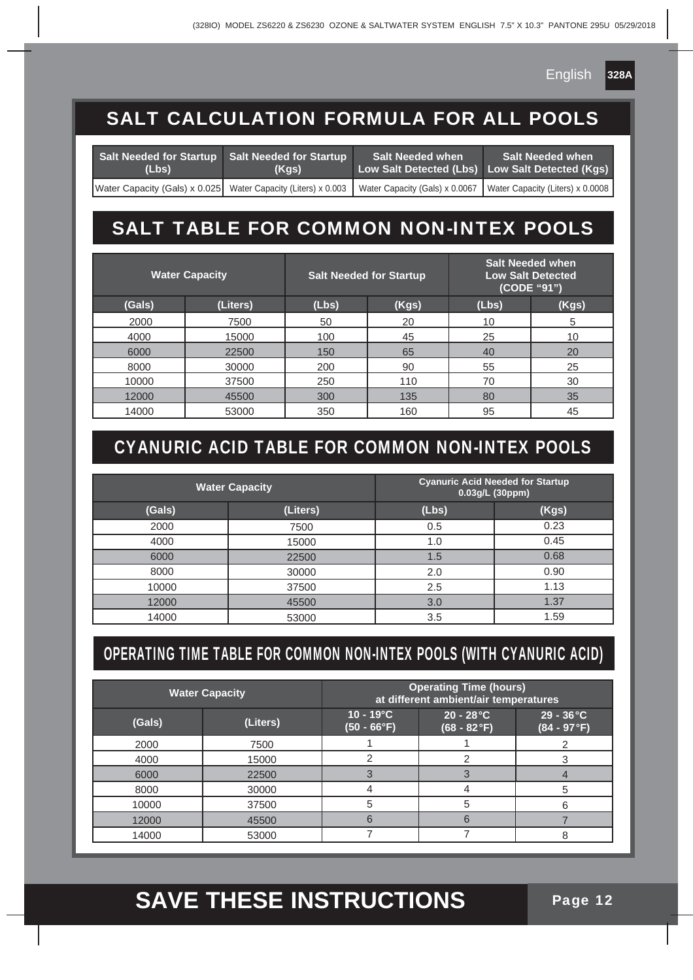## SALT CALCULATION FORMULA FOR ALL POOLS

| Salt Needed for Startup Salt Needed for Startup<br>(Lbs) | (Kgs) | <b>Salt Needed when</b> | <b>Salt Needed when</b><br>Low Salt Detected (Lbs) Low Salt Detected (Kgs)                                                    |
|----------------------------------------------------------|-------|-------------------------|-------------------------------------------------------------------------------------------------------------------------------|
|                                                          |       |                         | Water Capacity (Gals) x 0.025 Water Capacity (Liters) x 0.003 Water Capacity (Gals) x 0.0067 Water Capacity (Liters) x 0.0008 |

## SALT TABLE FOR COMMON NON-INTEX POOLS

|        | <b>Water Capacity</b> |       | <b>Salt Needed for Startup</b> |       | <b>Salt Needed when</b><br><b>Low Salt Detected</b><br>(CODE "91") |
|--------|-----------------------|-------|--------------------------------|-------|--------------------------------------------------------------------|
| (Gals) | (Liters)              | (Lbs) | (Kgs)                          | (Lbs) | (Kgs)                                                              |
| 2000   | 7500                  | 50    | 20                             | 10    | 5                                                                  |
| 4000   | 15000                 | 100   | 45                             | 25    | 10                                                                 |
| 6000   | 22500                 | 150   | 65                             | 40    | 20                                                                 |
| 8000   | 30000                 | 200   | 90                             | 55    | 25                                                                 |
| 10000  | 37500                 | 250   | 110                            | 70    | 30                                                                 |
| 12000  | 45500                 | 300   | 135                            | 80    | 35                                                                 |
| 14000  | 53000                 | 350   | 160                            | 95    | 45                                                                 |

## CYANURIC ACID TABLE FOR COMMON NON-INTEX POOLS

| <b>Water Capacity</b> |          | <b>Cyanuric Acid Needed for Startup</b><br>0.03g/L (30ppm) |       |
|-----------------------|----------|------------------------------------------------------------|-------|
| (Gals)                | (Liters) | (Lbs)                                                      | (Kgs) |
| 2000                  | 7500     | 0.5                                                        | 0.23  |
| 4000                  | 15000    | 1.0                                                        | 0.45  |
| 6000                  | 22500    | 1.5                                                        | 0.68  |
| 8000                  | 30000    | 2.0                                                        | 0.90  |
| 10000                 | 37500    | 2.5                                                        | 1.13  |
| 12000                 | 45500    | 3.0                                                        | 1.37  |
| 14000                 | 53000    | 3.5                                                        | 1.59  |

## OPERATING TIME TABLE FOR COMMON NON-INTEX POOLS (WITH CYANURIC ACID)

|        | <b>Water Capacity</b> |                                     | <b>Operating Time (hours)</b><br>at different ambient/air temperatures |                                      |
|--------|-----------------------|-------------------------------------|------------------------------------------------------------------------|--------------------------------------|
| (Gals) | (Liters)              | $10 - 19^{\circ}C$<br>$(50 - 66°F)$ | $20 - 28$ °C<br>$(68 - 82 \degree F)$                                  | $29 - 36^{\circ}C$<br>$(84 - 97 °F)$ |
| 2000   | 7500                  |                                     |                                                                        |                                      |
| 4000   | 15000                 |                                     |                                                                        |                                      |
| 6000   | 22500                 |                                     |                                                                        |                                      |
| 8000   | 30000                 |                                     |                                                                        | 5                                    |
| 10000  | 37500                 |                                     | 5                                                                      | 6                                    |
| 12000  | 45500                 | 6                                   | 6                                                                      |                                      |
| 14000  | 53000                 |                                     |                                                                        | 8                                    |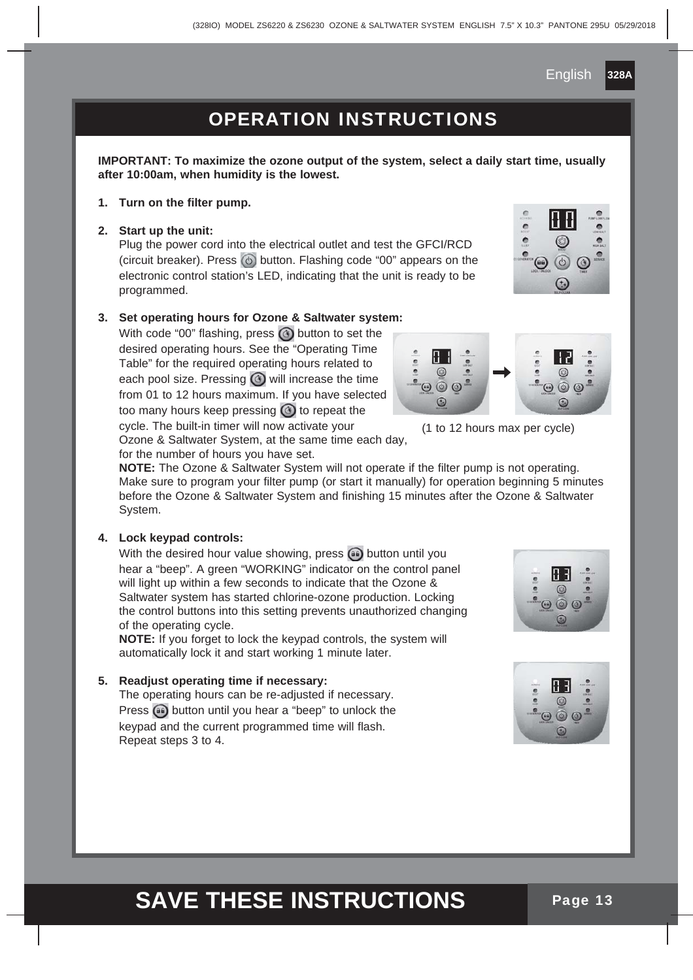### OPERATION INSTRUCTIONS

**IMPORTANT: To maximize the ozone output of the system, select a daily start time, usually after 10:00am, when humidity is the lowest.**

**1. Turn on the filter pump.**

#### **2. Start up the unit:**

 Plug the power cord into the electrical outlet and test the GFCI/RCD (circuit breaker). Press  $\circledcirc$  button. Flashing code "00" appears on the electronic control station's LED, indicating that the unit is ready to be programmed.

#### **3. Set operating hours for Ozone & Saltwater system:**

With code "00" flashing, press  $\circledcirc$  button to set the desired operating hours. See the "Operating Time Table" for the required operating hours related to each pool size. Pressing  $\odot$  will increase the time from 01 to 12 hours maximum. If you have selected too many hours keep pressing  $\odot$  to repeat the cycle. The built-in timer will now activate your Ozone & Saltwater System, at the same time each day,

for the number of hours you have set.

**NOTE:** The Ozone & Saltwater System will not operate if the filter pump is not operating. Make sure to program your filter pump (or start it manually) for operation beginning 5 minutes before the Ozone & Saltwater System and finishing 15 minutes after the Ozone & Saltwater System.

#### **4. Lock keypad controls:**

With the desired hour value showing, press  $\bullet$  button until you hear a "beep". A green "WORKING" indicator on the control panel will light up within a few seconds to indicate that the Ozone & Saltwater system has started chlorine-ozone production. Locking the control buttons into this setting prevents unauthorized changing of the operating cycle.

**NOTE:** If you forget to lock the keypad controls, the system will automatically lock it and start working 1 minute later.

#### **5. Readjust operating time if necessary:**

The operating hours can be re-adjusted if necessary. Press  $\bigoplus$  button until you hear a "beep" to unlock the keypad and the current programmed time will flash. Repeat steps 3 to 4.



(1 to 12 hours max per cycle)



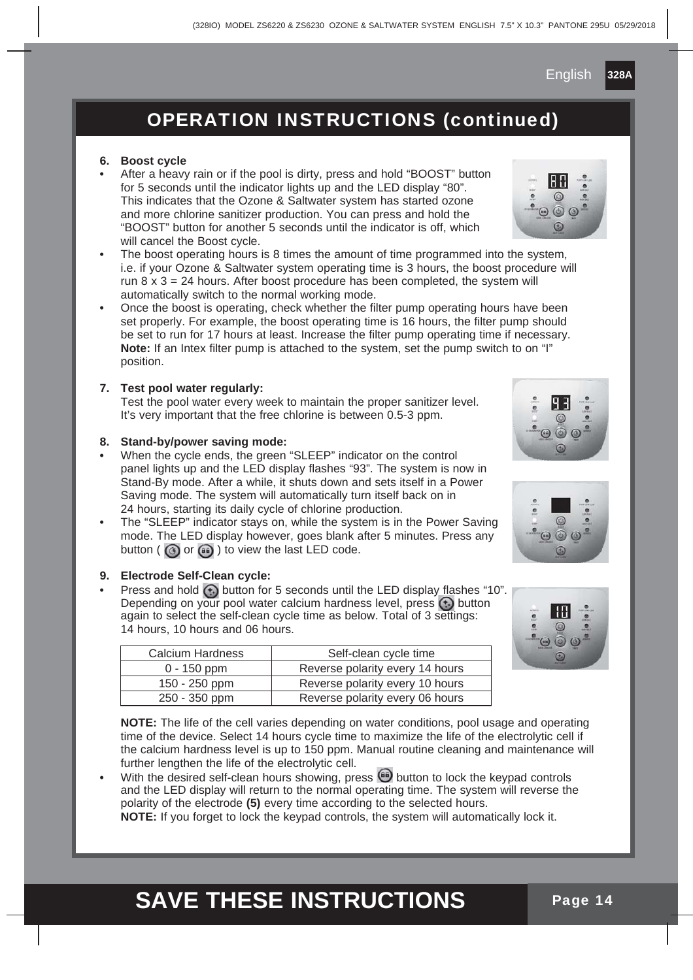## OPERATION INSTRUCTIONS (continued)

#### **6. Boost cycle**

- **•** After a heavy rain or if the pool is dirty, press and hold "BOOST" button for 5 seconds until the indicator lights up and the LED display "80". This indicates that the Ozone & Saltwater system has started ozone and more chlorine sanitizer production. You can press and hold the "BOOST" button for another 5 seconds until the indicator is off, which will cancel the Boost cycle.
- **•** The boost operating hours is 8 times the amount of time programmed into the system, i.e. if your Ozone & Saltwater system operating time is 3 hours, the boost procedure will run  $8 \times 3 = 24$  hours. After boost procedure has been completed, the system will automatically switch to the normal working mode.
- **•** Once the boost is operating, check whether the filter pump operating hours have been set properly. For example, the boost operating time is 16 hours, the filter pump should be set to run for 17 hours at least. Increase the filter pump operating time if necessary. **Note:** If an Intex filter pump is attached to the system, set the pump switch to on "I" position.

#### **7. Test pool water regularly:**

 Test the pool water every week to maintain the proper sanitizer level. It's very important that the free chlorine is between 0.5-3 ppm.

#### **8. Stand-by/power saving mode:**

- **•** When the cycle ends, the green "SLEEP" indicator on the control panel lights up and the LED display flashes "93". The system is now in Stand-By mode. After a while, it shuts down and sets itself in a Power Saving mode. The system will automatically turn itself back on in 24 hours, starting its daily cycle of chlorine production.
- **•** The "SLEEP" indicator stays on, while the system is in the Power Saving mode. The LED display however, goes blank after 5 minutes. Press any button ( $\circledcirc$ ) or  $\circledcirc$ ) to view the last LED code.

#### **9. Electrode Self-Clean cycle:**

• Press and hold  $\bigoplus$  button for 5 seconds until the LED display flashes "10". Depending on your pool water calcium hardness level, press  $\bigoplus$  button again to select the self-clean cycle time as below. Total of 3 settings: 14 hours, 10 hours and 06 hours.

| <b>Calcium Hardness</b> | Self-clean cycle time           |
|-------------------------|---------------------------------|
| $0 - 150$ ppm           | Reverse polarity every 14 hours |
| 150 - 250 ppm           | Reverse polarity every 10 hours |
| 250 - 350 ppm           | Reverse polarity every 06 hours |
|                         |                                 |

 **NOTE:** The life of the cell varies depending on water conditions, pool usage and operating time of the device. Select 14 hours cycle time to maximize the life of the electrolytic cell if the calcium hardness level is up to 150 ppm. Manual routine cleaning and maintenance will further lengthen the life of the electrolytic cell.

With the desired self-clean hours showing, press **(iii)** button to lock the keypad controls and the LED display will return to the normal operating time. The system will reverse the polarity of the electrode **(5)** every time according to the selected hours. **NOTE:** If you forget to lock the keypad controls, the system will automatically lock it.









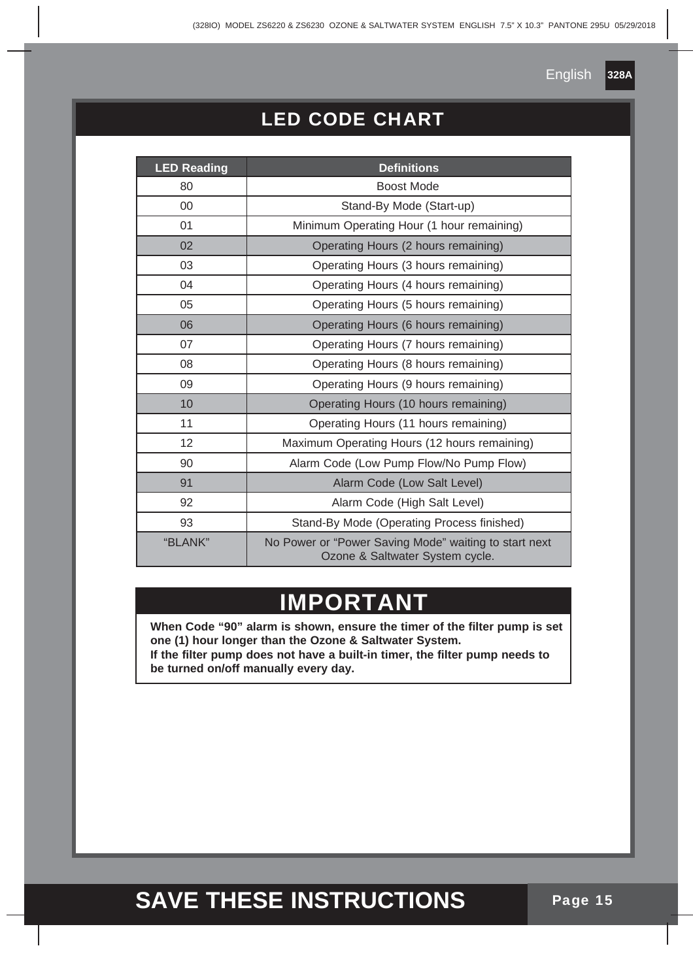**328A**

## LED CODE CHART

| <b>LED Reading</b> | <b>Definitions</b>                                                                       |
|--------------------|------------------------------------------------------------------------------------------|
| 80                 | Boost Mode                                                                               |
| $00\,$             | Stand-By Mode (Start-up)                                                                 |
| 01                 | Minimum Operating Hour (1 hour remaining)                                                |
| 02                 | Operating Hours (2 hours remaining)                                                      |
| 03                 | Operating Hours (3 hours remaining)                                                      |
| 04                 | Operating Hours (4 hours remaining)                                                      |
| 05                 | Operating Hours (5 hours remaining)                                                      |
| 06                 | Operating Hours (6 hours remaining)                                                      |
| 07                 | Operating Hours (7 hours remaining)                                                      |
| 08                 | Operating Hours (8 hours remaining)                                                      |
| 09                 | Operating Hours (9 hours remaining)                                                      |
| 10                 | Operating Hours (10 hours remaining)                                                     |
| 11                 | Operating Hours (11 hours remaining)                                                     |
| 12                 | Maximum Operating Hours (12 hours remaining)                                             |
| 90                 | Alarm Code (Low Pump Flow/No Pump Flow)                                                  |
| 91                 | Alarm Code (Low Salt Level)                                                              |
| 92                 | Alarm Code (High Salt Level)                                                             |
| 93                 | Stand-By Mode (Operating Process finished)                                               |
| "BLANK"            | No Power or "Power Saving Mode" waiting to start next<br>Ozone & Saltwater System cycle. |

## **IMPORTANT**

**When Code "90" alarm is shown, ensure the timer of the filter pump is set one (1) hour longer than the Ozone & Saltwater System. If the filter pump does not have a built-in timer, the filter pump needs to be turned on/off manually every day.**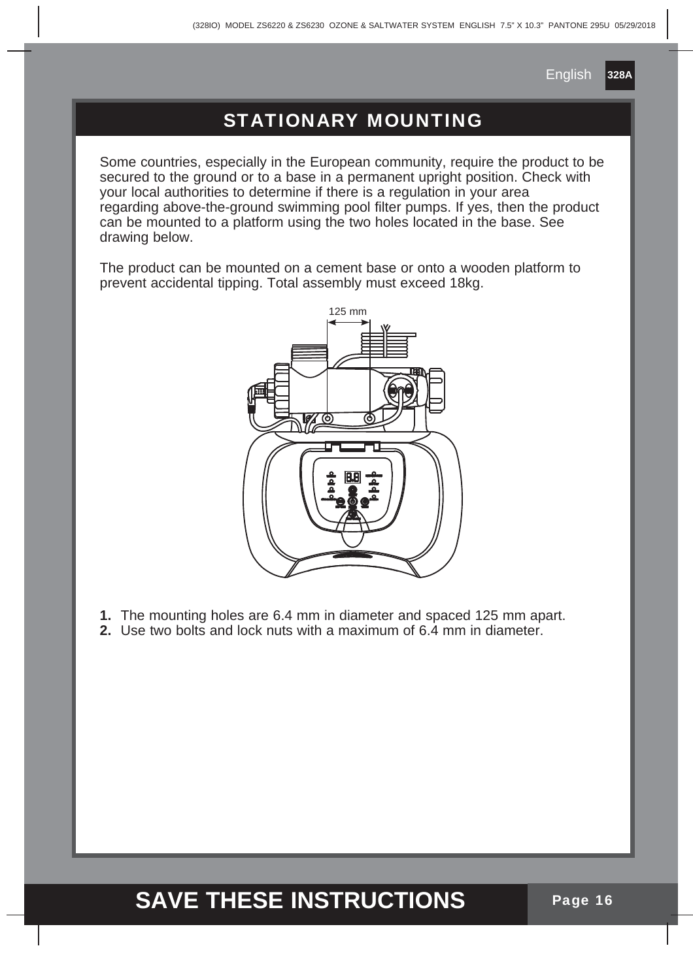## STATIONARY MOUNTING

Some countries, especially in the European community, require the product to be secured to the ground or to a base in a permanent upright position. Check with your local authorities to determine if there is a regulation in your area regarding above-the-ground swimming pool filter pumps. If yes, then the product can be mounted to a platform using the two holes located in the base. See drawing below.

The product can be mounted on a cement base or onto a wooden platform to prevent accidental tipping. Total assembly must exceed 18kg.



- **1.** The mounting holes are 6.4 mm in diameter and spaced 125 mm apart.
- **2.** Use two bolts and lock nuts with a maximum of 6.4 mm in diameter.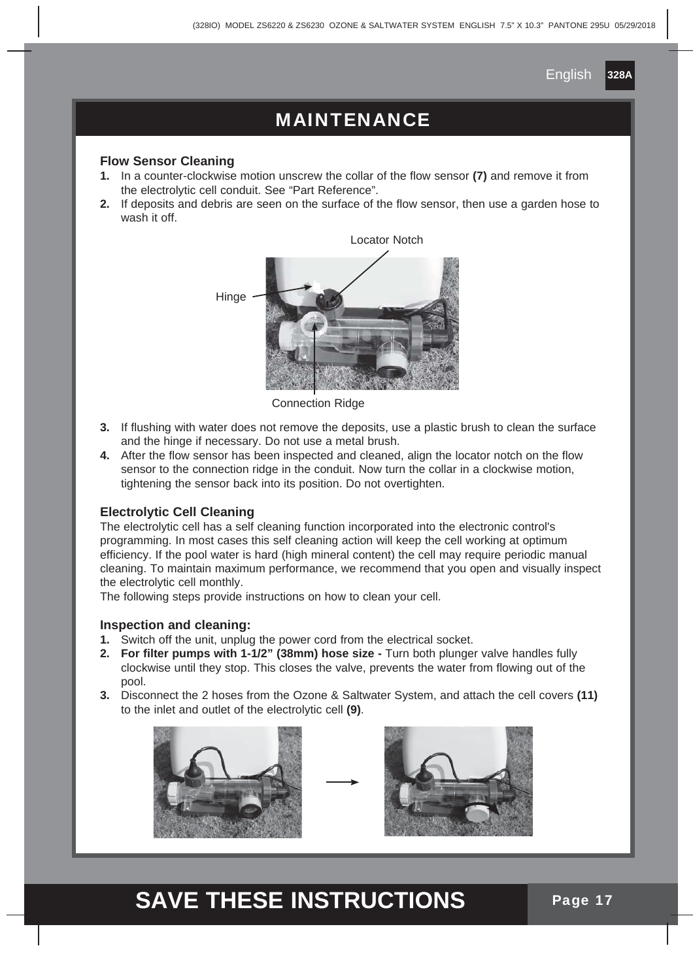### MAINTENANCE

#### **Flow Sensor Cleaning**

- **1.** In a counter-clockwise motion unscrew the collar of the flow sensor **(7)** and remove it from the electrolytic cell conduit. See "Part Reference".
- **2.** If deposits and debris are seen on the surface of the flow sensor, then use a garden hose to wash it off.



Connection Ridge

- **3.** If flushing with water does not remove the deposits, use a plastic brush to clean the surface and the hinge if necessary. Do not use a metal brush.
- **4.** After the flow sensor has been inspected and cleaned, align the locator notch on the flow sensor to the connection ridge in the conduit. Now turn the collar in a clockwise motion, tightening the sensor back into its position. Do not overtighten.

#### **Electrolytic Cell Cleaning**

The electrolytic cell has a self cleaning function incorporated into the electronic control's programming. In most cases this self cleaning action will keep the cell working at optimum efficiency. If the pool water is hard (high mineral content) the cell may require periodic manual cleaning. To maintain maximum performance, we recommend that you open and visually inspect the electrolytic cell monthly.

The following steps provide instructions on how to clean your cell.

#### **Inspection and cleaning:**

- **1.** Switch off the unit, unplug the power cord from the electrical socket.
- **2. For filter pumps with 1-1/2" (38mm) hose size -** Turn both plunger valve handles fully clockwise until they stop. This closes the valve, prevents the water from flowing out of the pool.
- **3.** Disconnect the 2 hoses from the Ozone & Saltwater System, and attach the cell covers **(11)** to the inlet and outlet of the electrolytic cell **(9)**.



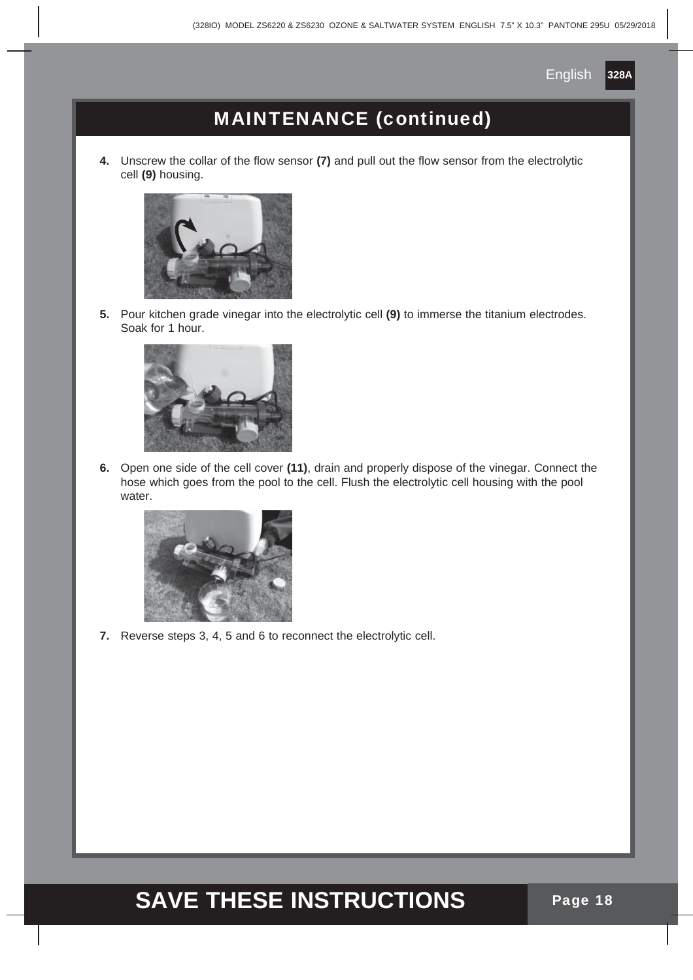

## MAINTENANCE (continued)

**4.** Unscrew the collar of the flow sensor **(7)** and pull out the flow sensor from the electrolytic cell **(9)** housing.



**5.** Pour kitchen grade vinegar into the electrolytic cell **(9)** to immerse the titanium electrodes. Soak for 1 hour.



**6.** Open one side of the cell cover **(11)**, drain and properly dispose of the vinegar. Connect the hose which goes from the pool to the cell. Flush the electrolytic cell housing with the pool water.



**7.** Reverse steps 3, 4, 5 and 6 to reconnect the electrolytic cell.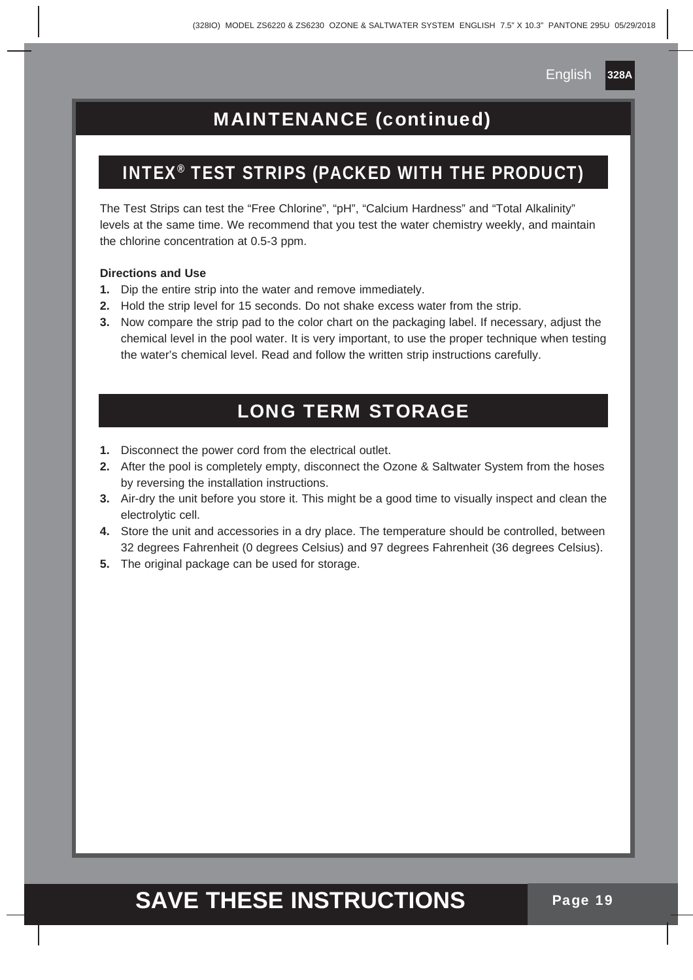**328A**

## MAINTENANCE (continued)

#### INTEX® TEST STRIPS (PACKED WITH THE PRODUCT)

The Test Strips can test the "Free Chlorine", "pH", "Calcium Hardness" and "Total Alkalinity" levels at the same time. We recommend that you test the water chemistry weekly, and maintain the chlorine concentration at 0.5-3 ppm.

#### **Directions and Use**

- **1.** Dip the entire strip into the water and remove immediately.
- **2.** Hold the strip level for 15 seconds. Do not shake excess water from the strip.
- **3.** Now compare the strip pad to the color chart on the packaging label. If necessary, adjust the chemical level in the pool water. It is very important, to use the proper technique when testing the water's chemical level. Read and follow the written strip instructions carefully.

#### LONG TERM STORAGE

- **1.** Disconnect the power cord from the electrical outlet.
- **2.** After the pool is completely empty, disconnect the Ozone & Saltwater System from the hoses by reversing the installation instructions.
- **3.** Air-dry the unit before you store it. This might be a good time to visually inspect and clean the electrolytic cell.
- **4.** Store the unit and accessories in a dry place. The temperature should be controlled, between 32 degrees Fahrenheit (0 degrees Celsius) and 97 degrees Fahrenheit (36 degrees Celsius).
- **5.** The original package can be used for storage.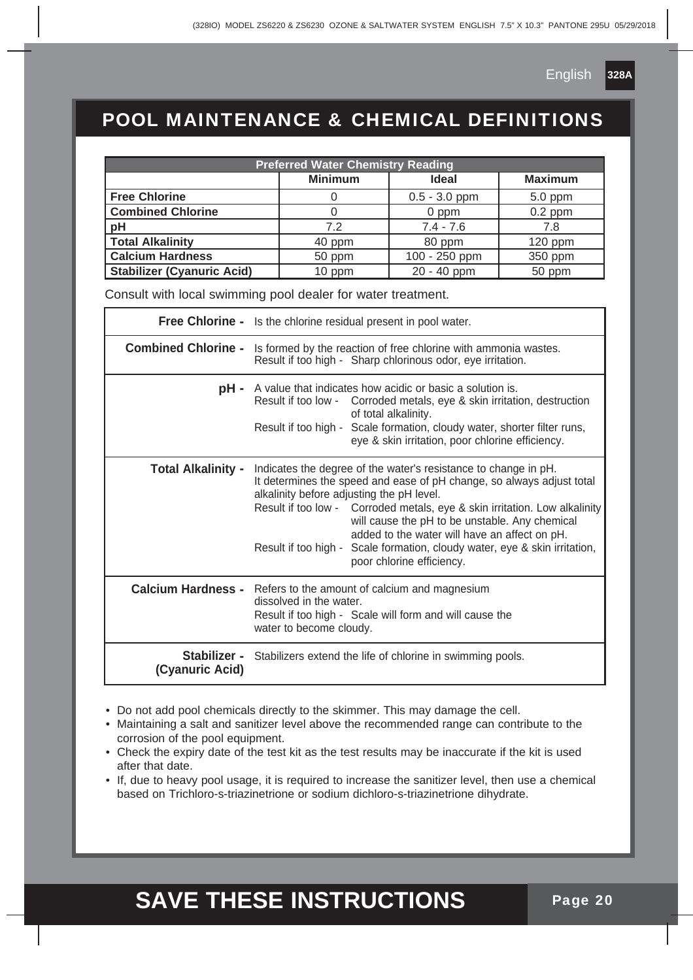

## POOL MAINTENANCE & CHEMICAL DEFINITIONS

| <b>Preferred Water Chemistry Reading</b> |                |                 |                |  |  |
|------------------------------------------|----------------|-----------------|----------------|--|--|
|                                          | <b>Minimum</b> | <b>Ideal</b>    | <b>Maximum</b> |  |  |
| <b>Free Chlorine</b>                     |                | $0.5 - 3.0$ ppm | 5.0 ppm        |  |  |
| <b>Combined Chlorine</b>                 |                | 0 ppm           | $0.2$ ppm      |  |  |
| pH                                       | 72             | $7.4 - 7.6$     | 7.8            |  |  |
| <b>Total Alkalinity</b>                  | 40 ppm         | 80 ppm          | $120$ ppm      |  |  |
| <b>Calcium Hardness</b>                  | 50 ppm         | 100 - 250 ppm   | 350 ppm        |  |  |
| <b>Stabilizer (Cyanuric Acid)</b>        | 10 ppm         | 20 - 40 ppm     | 50 ppm         |  |  |

Consult with local swimming pool dealer for water treatment.

|                           | <b>Free Chlorine -</b> Is the chlorine residual present in pool water.                                                                                                                                                                                                                                                                                                                                                                                                            |  |  |
|---------------------------|-----------------------------------------------------------------------------------------------------------------------------------------------------------------------------------------------------------------------------------------------------------------------------------------------------------------------------------------------------------------------------------------------------------------------------------------------------------------------------------|--|--|
|                           | <b>Combined Chlorine -</b> Is formed by the reaction of free chlorine with ammonia wastes.<br>Result if too high - Sharp chlorinous odor, eye irritation.                                                                                                                                                                                                                                                                                                                         |  |  |
|                           | <b>pH</b> - A value that indicates how acidic or basic a solution is.<br>Result if too low - Corroded metals, eye & skin irritation, destruction<br>of total alkalinity.<br>Result if too high - Scale formation, cloudy water, shorter filter runs,<br>eye & skin irritation, poor chlorine efficiency.                                                                                                                                                                          |  |  |
| <b>Total Alkalinity -</b> | Indicates the degree of the water's resistance to change in pH.<br>It determines the speed and ease of pH change, so always adjust total<br>alkalinity before adjusting the pH level.<br>Result if too low - Corroded metals, eye & skin irritation. Low alkalinity<br>will cause the pH to be unstable. Any chemical<br>added to the water will have an affect on pH.<br>Result if too high - Scale formation, cloudy water, eye & skin irritation,<br>poor chlorine efficiency. |  |  |
|                           | <b>Calcium Hardness -</b> Refers to the amount of calcium and magnesium<br>dissolved in the water.<br>Result if too high - Scale will form and will cause the<br>water to become cloudy.                                                                                                                                                                                                                                                                                          |  |  |
| (Cyanuric Acid)           | <b>Stabilizer -</b> Stabilizers extend the life of chlorine in swimming pools.                                                                                                                                                                                                                                                                                                                                                                                                    |  |  |

- Do not add pool chemicals directly to the skimmer. This may damage the cell.
- Maintaining a salt and sanitizer level above the recommended range can contribute to the corrosion of the pool equipment.
- Check the expiry date of the test kit as the test results may be inaccurate if the kit is used after that date.
- If, due to heavy pool usage, it is required to increase the sanitizer level, then use a chemical based on Trichloro-s-triazinetrione or sodium dichloro-s-triazinetrione dihydrate.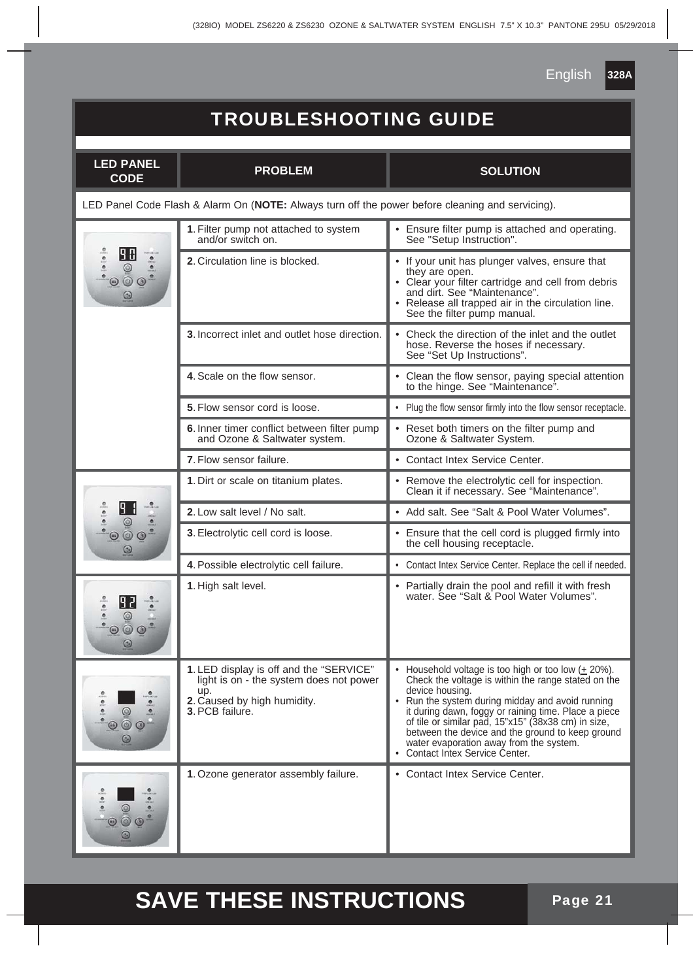## TROUBLESHOOTING GUIDE

| <b>LED PANEL</b><br><b>CODE</b>                                                                  | <b>PROBLEM</b>                                                                                                                              | <b>SOLUTION</b>                                                                                                                                                                                                                                                                                                                                                                                                                     |  |  |
|--------------------------------------------------------------------------------------------------|---------------------------------------------------------------------------------------------------------------------------------------------|-------------------------------------------------------------------------------------------------------------------------------------------------------------------------------------------------------------------------------------------------------------------------------------------------------------------------------------------------------------------------------------------------------------------------------------|--|--|
| LED Panel Code Flash & Alarm On (NOTE: Always turn off the power before cleaning and servicing). |                                                                                                                                             |                                                                                                                                                                                                                                                                                                                                                                                                                                     |  |  |
|                                                                                                  | 1. Filter pump not attached to system<br>and/or switch on.                                                                                  | • Ensure filter pump is attached and operating.<br>See "Setup Instruction".                                                                                                                                                                                                                                                                                                                                                         |  |  |
|                                                                                                  | 2. Circulation line is blocked.                                                                                                             | • If your unit has plunger valves, ensure that<br>they are open.<br>• Clear your filter cartridge and cell from debris<br>and dirt. See "Maintenance".<br>• Release all trapped air in the circulation line.<br>See the filter pump manual.                                                                                                                                                                                         |  |  |
|                                                                                                  | 3. Incorrect inlet and outlet hose direction.                                                                                               | • Check the direction of the inlet and the outlet<br>hose. Reverse the hoses if necessary.<br>See "Set Up Instructions".                                                                                                                                                                                                                                                                                                            |  |  |
|                                                                                                  | 4. Scale on the flow sensor.                                                                                                                | • Clean the flow sensor, paying special attention<br>to the hinge. See "Maintenance".                                                                                                                                                                                                                                                                                                                                               |  |  |
|                                                                                                  | 5. Flow sensor cord is loose.                                                                                                               | • Plug the flow sensor firmly into the flow sensor receptacle.                                                                                                                                                                                                                                                                                                                                                                      |  |  |
|                                                                                                  | 6. Inner timer conflict between filter pump<br>and Ozone & Saltwater system.                                                                | • Reset both timers on the filter pump and<br>Ozone & Saltwater System.                                                                                                                                                                                                                                                                                                                                                             |  |  |
|                                                                                                  | 7. Flow sensor failure.                                                                                                                     | • Contact Intex Service Center.                                                                                                                                                                                                                                                                                                                                                                                                     |  |  |
|                                                                                                  | 1. Dirt or scale on titanium plates.                                                                                                        | • Remove the electrolytic cell for inspection.<br>Clean it if necessary. See "Maintenance".                                                                                                                                                                                                                                                                                                                                         |  |  |
|                                                                                                  | 2. Low salt level / No salt.                                                                                                                | • Add salt, See "Salt & Pool Water Volumes".                                                                                                                                                                                                                                                                                                                                                                                        |  |  |
|                                                                                                  | 3. Electrolytic cell cord is loose.                                                                                                         | • Ensure that the cell cord is plugged firmly into<br>the cell housing receptacle.                                                                                                                                                                                                                                                                                                                                                  |  |  |
|                                                                                                  | 4. Possible electrolytic cell failure.                                                                                                      | • Contact Intex Service Center. Replace the cell if needed.                                                                                                                                                                                                                                                                                                                                                                         |  |  |
|                                                                                                  | 1. High salt level.                                                                                                                         | • Partially drain the pool and refill it with fresh<br>water. See "Salt & Pool Water Volumes".                                                                                                                                                                                                                                                                                                                                      |  |  |
|                                                                                                  | 1. LED display is off and the "SERVICE"<br>light is on - the system does not power<br>up.<br>2. Caused by high humidity.<br>3. PCB failure. | Household voltage is too high or too low $(± 20\%).$<br>Check the voltage is within the range stated on the<br>device housing.<br>• Run the system during midday and avoid running<br>it during dawn, foggy or raining time. Place a piece<br>of tile or similar pad, 15"x15" (38x38 cm) in size,<br>between the device and the ground to keep ground<br>water evaporation away from the system.<br>• Contact Intex Service Center. |  |  |
|                                                                                                  | 1. Ozone generator assembly failure.                                                                                                        | • Contact Intex Service Center.                                                                                                                                                                                                                                                                                                                                                                                                     |  |  |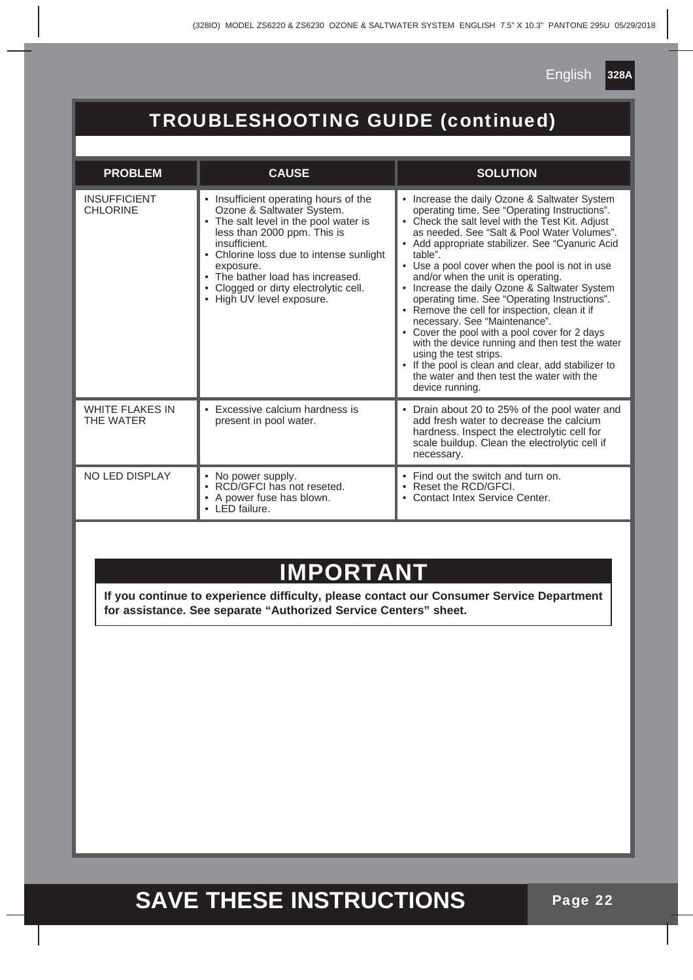## TROUBLESHOOTING GUIDE (continued)

| <b>PROBLEM</b>                         | <b>CAUSE</b>                                                                                                                                                                                                                                                                                                        | <b>SOLUTION</b>                                                                                                                                                                                                                                                                                                                                                                                                                                                                                                                                                                                                                                                                                                                                                                                           |
|----------------------------------------|---------------------------------------------------------------------------------------------------------------------------------------------------------------------------------------------------------------------------------------------------------------------------------------------------------------------|-----------------------------------------------------------------------------------------------------------------------------------------------------------------------------------------------------------------------------------------------------------------------------------------------------------------------------------------------------------------------------------------------------------------------------------------------------------------------------------------------------------------------------------------------------------------------------------------------------------------------------------------------------------------------------------------------------------------------------------------------------------------------------------------------------------|
| <b>INSUFFICIENT</b><br><b>CHLORINE</b> | Insufficient operating hours of the<br>Ozone & Saltwater System.<br>The salt level in the pool water is<br>less than 2000 ppm. This is<br>insufficient.<br>Chlorine loss due to intense sunlight<br>exposure.<br>• The bather load has increased.<br>Clogged or dirty electrolytic cell.<br>High UV level exposure. | Increase the daily Ozone & Saltwater System<br>$\bullet$<br>operating time. See "Operating Instructions".<br>Check the salt level with the Test Kit. Adjust<br>as needed. See "Salt & Pool Water Volumes".<br>• Add appropriate stabilizer. See "Cyanuric Acid"<br>table".<br>Use a pool cover when the pool is not in use<br>٠<br>and/or when the unit is operating.<br>Increase the daily Ozone & Saltwater System<br>operating time. See "Operating Instructions".<br>• Remove the cell for inspection, clean it if<br>necessary. See "Maintenance".<br>Cover the pool with a pool cover for 2 days<br>with the device running and then test the water<br>using the test strips.<br>If the pool is clean and clear, add stabilizer to<br>the water and then test the water with the<br>device running. |
| <b>WHITE FLAKES IN</b><br>THE WATER    | Excessive calcium hardness is<br>present in pool water.                                                                                                                                                                                                                                                             | Drain about 20 to 25% of the pool water and<br>$\bullet$<br>add fresh water to decrease the calcium<br>hardness. Inspect the electrolytic cell for<br>scale buildup. Clean the electrolytic cell if<br>necessary.                                                                                                                                                                                                                                                                                                                                                                                                                                                                                                                                                                                         |
| NO LED DISPLAY                         | No power supply.<br>RCD/GFCI has not reseted.<br>A power fuse has blown.<br>LED failure.                                                                                                                                                                                                                            | Find out the switch and turn on.<br>$\bullet$<br>Reset the RCD/GFCI.<br>٠<br>Contact Intex Service Center.                                                                                                                                                                                                                                                                                                                                                                                                                                                                                                                                                                                                                                                                                                |

## **IMPORTANT**

**If you continue to experience difficulty, please contact our Consumer Service Department for assistance. See separate "Authorized Service Centers" sheet.**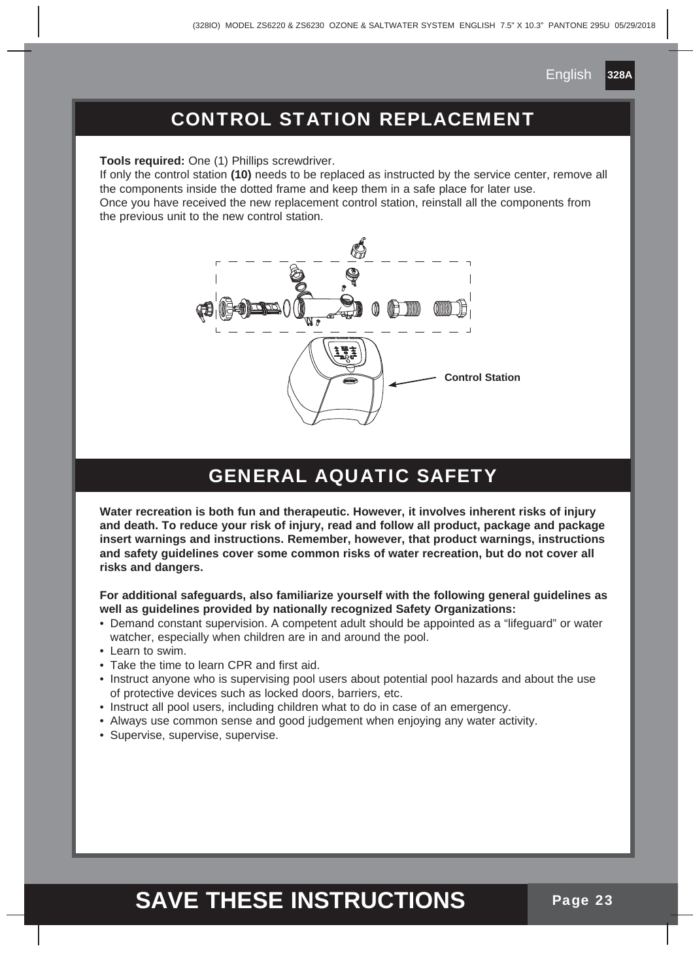## CONTROL STATION REPLACEMENT

**Tools required:** One (1) Phillips screwdriver.

If only the control station **(10)** needs to be replaced as instructed by the service center, remove all the components inside the dotted frame and keep them in a safe place for later use. Once you have received the new replacement control station, reinstall all the components from the previous unit to the new control station.



## GENERAL AQUATIC SAFETY

**Water recreation is both fun and therapeutic. However, it involves inherent risks of injury and death. To reduce your risk of injury, read and follow all product, package and package insert warnings and instructions. Remember, however, that product warnings, instructions and safety guidelines cover some common risks of water recreation, but do not cover all risks and dangers.**

#### **For additional safeguards, also familiarize yourself with the following general guidelines as well as guidelines provided by nationally recognized Safety Organizations:**

- Demand constant supervision. A competent adult should be appointed as a "lifeguard" or water watcher, especially when children are in and around the pool.
- Learn to swim.
- Take the time to learn CPR and first aid.
- Instruct anyone who is supervising pool users about potential pool hazards and about the use of protective devices such as locked doors, barriers, etc.
- Instruct all pool users, including children what to do in case of an emergency.
- Always use common sense and good judgement when enjoying any water activity.
- Supervise, supervise, supervise.